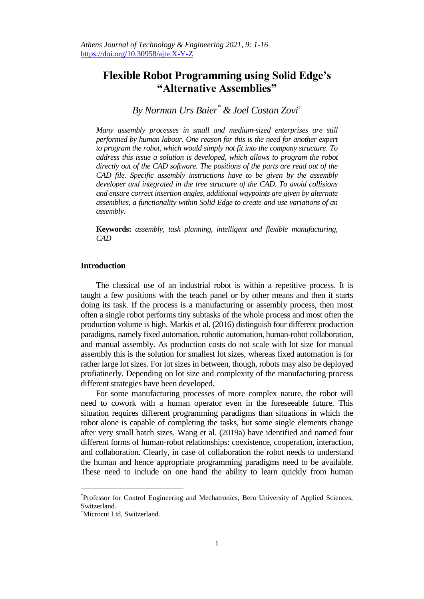# **Flexible Robot Programming using Solid Edge's "Alternative Assemblies"**

*By Norman Urs Baier\* & Joel Costan Zovi<sup>±</sup>*

*Many assembly processes in small and medium-sized enterprises are still performed by human labour. One reason for this is the need for another expert to program the robot, which would simply not fit into the company structure. To address this issue a solution is developed, which allows to program the robot directly out of the CAD software. The positions of the parts are read out of the CAD file. Specific assembly instructions have to be given by the assembly developer and integrated in the tree structure of the CAD. To avoid collisions and ensure correct insertion angles, additional waypoints are given by alternate assemblies, a functionality within Solid Edge to create and use variations of an assembly.*

**Keywords:** *assembly, task planning, intelligent and flexible manufacturing, CAD*

## **Introduction**

The classical use of an industrial robot is within a repetitive process. It is taught a few positions with the teach panel or by other means and then it starts doing its task. If the process is a manufacturing or assembly process, then most often a single robot performs tiny subtasks of the whole process and most often the production volume is high. Markis et al. (2016) distinguish four different production paradigms, namely fixed automation, robotic automation, human-robot collaboration, and manual assembly. As production costs do not scale with lot size for manual assembly this is the solution for smallest lot sizes, whereas fixed automation is for rather large lot sizes. For lot sizes in between, though, robots may also be deployed profiatinerly. Depending on lot size and complexity of the manufacturing process different strategies have been developed.

For some manufacturing processes of more complex nature, the robot will need to cowork with a human operator even in the foreseeable future. This situation requires different programming paradigms than situations in which the robot alone is capable of completing the tasks, but some single elements change after very small batch sizes. Wang et al. (2019a) have identified and named four different forms of human-robot relationships: coexistence, cooperation, interaction, and collaboration. Clearly, in case of collaboration the robot needs to understand the human and hence appropriate programming paradigms need to be available. These need to include on one hand the ability to learn quickly from human

 $\overline{a}$ 

<sup>\*</sup> Professor for Control Engineering and Mechatronics, Bern University of Applied Sciences, Switzerland.

<sup>±</sup>Microcut Ltd, Switzerland.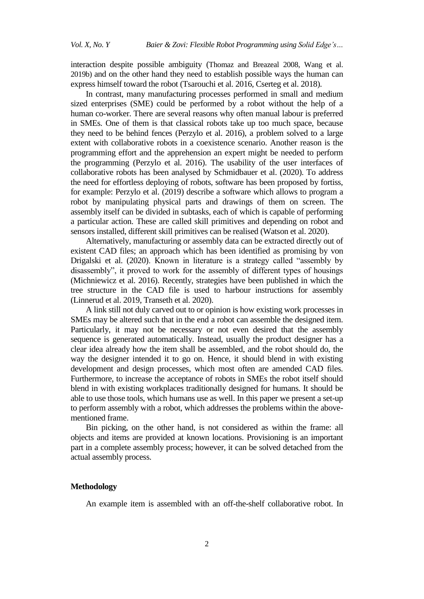interaction despite possible ambiguity (Thomaz and Breazeal 2008, Wang et al. 2019b) and on the other hand they need to establish possible ways the human can express himself toward the robot (Tsarouchi et al. 2016, Cserteg et al. 2018).

In contrast, many manufacturing processes performed in small and medium sized enterprises (SME) could be performed by a robot without the help of a human co-worker. There are several reasons why often manual labour is preferred in SMEs. One of them is that classical robots take up too much space, because they need to be behind fences (Perzylo et al. 2016), a problem solved to a large extent with collaborative robots in a coexistence scenario. Another reason is the programming effort and the apprehension an expert might be needed to perform the programming (Perzylo et al. 2016). The usability of the user interfaces of collaborative robots has been analysed by Schmidbauer et al. (2020). To address the need for effortless deploying of robots, software has been proposed by fortiss, for example: Perzylo et al. (2019) describe a software which allows to program a robot by manipulating physical parts and drawings of them on screen. The assembly itself can be divided in subtasks, each of which is capable of performing a particular action. These are called skill primitives and depending on robot and sensors installed, different skill primitives can be realised (Watson et al. 2020).

Alternatively, manufacturing or assembly data can be extracted directly out of existent CAD files; an approach which has been identified as promising by von Drigalski et al. (2020). Known in literature is a strategy called "assembly by disassembly", it proved to work for the assembly of different types of housings (Michniewicz et al. 2016). Recently, strategies have been published in which the tree structure in the CAD file is used to harbour instructions for assembly (Linnerud et al. 2019, Transeth et al. 2020).

A link still not duly carved out to or opinion is how existing work processes in SMEs may be altered such that in the end a robot can assemble the designed item. Particularly, it may not be necessary or not even desired that the assembly sequence is generated automatically. Instead, usually the product designer has a clear idea already how the item shall be assembled, and the robot should do, the way the designer intended it to go on. Hence, it should blend in with existing development and design processes, which most often are amended CAD files. Furthermore, to increase the acceptance of robots in SMEs the robot itself should blend in with existing workplaces traditionally designed for humans. It should be able to use those tools, which humans use as well. In this paper we present a set-up to perform assembly with a robot, which addresses the problems within the abovementioned frame.

Bin picking, on the other hand, is not considered as within the frame: all objects and items are provided at known locations. Provisioning is an important part in a complete assembly process; however, it can be solved detached from the actual assembly process.

## **Methodology**

An example item is assembled with an off-the-shelf collaborative robot. In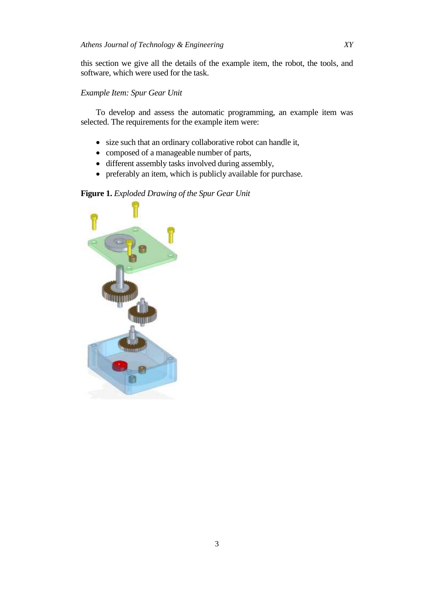this section we give all the details of the example item, the robot, the tools, and software, which were used for the task.

## *Example Item: Spur Gear Unit*

To develop and assess the automatic programming, an example item was selected. The requirements for the example item were:

- size such that an ordinary collaborative robot can handle it,
- composed of a manageable number of parts,
- different assembly tasks involved during assembly,
- preferably an item, which is publicly available for purchase.

## **Figure 1.** *Exploded Drawing of the Spur Gear Unit*

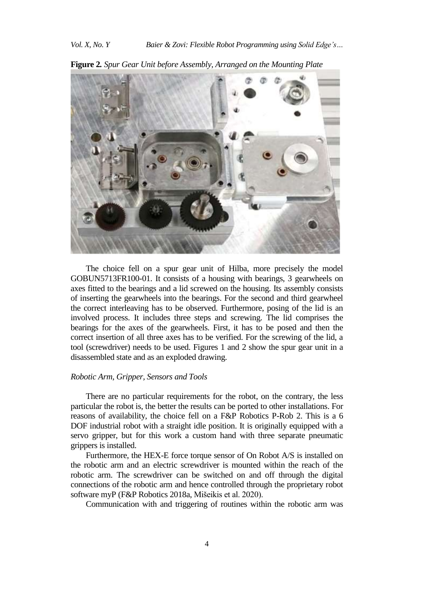

**Figure 2***. Spur Gear Unit before Assembly, Arranged on the Mounting Plate*

The choice fell on a spur gear unit of Hilba, more precisely the model GOBUN5713FR100-01. It consists of a housing with bearings, 3 gearwheels on axes fitted to the bearings and a lid screwed on the housing. Its assembly consists of inserting the gearwheels into the bearings. For the second and third gearwheel the correct interleaving has to be observed. Furthermore, posing of the lid is an involved process. It includes three steps and screwing. The lid comprises the bearings for the axes of the gearwheels. First, it has to be posed and then the correct insertion of all three axes has to be verified. For the screwing of the lid, a tool (screwdriver) needs to be used. Figures 1 and 2 show the spur gear unit in a disassembled state and as an exploded drawing.

#### *Robotic Arm, Gripper, Sensors and Tools*

There are no particular requirements for the robot, on the contrary, the less particular the robot is, the better the results can be ported to other installations. For reasons of availability, the choice fell on a F&P Robotics P-Rob 2. This is a 6 DOF industrial robot with a straight idle position. It is originally equipped with a servo gripper, but for this work a custom hand with three separate pneumatic grippers is installed.

Furthermore, the HEX-E force torque sensor of On Robot A/S is installed on the robotic arm and an electric screwdriver is mounted within the reach of the robotic arm. The screwdriver can be switched on and off through the digital connections of the robotic arm and hence controlled through the proprietary robot software myP (F&P Robotics 2018a, Mišeikis et al. 2020).

Communication with and triggering of routines within the robotic arm was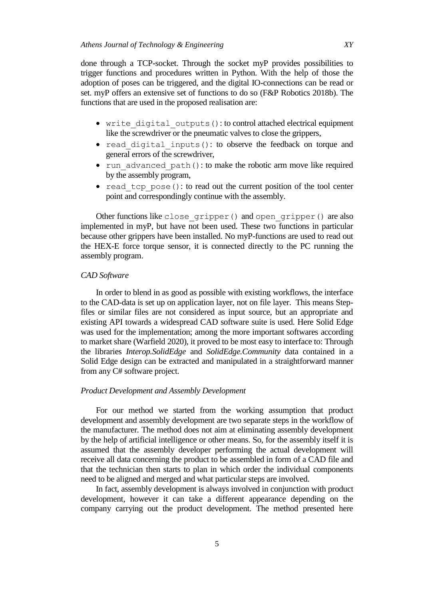done through a TCP-socket. Through the socket myP provides possibilities to trigger functions and procedures written in Python. With the help of those the adoption of poses can be triggered, and the digital IO-connections can be read or set. myP offers an extensive set of functions to do so (F&P Robotics 2018b). The functions that are used in the proposed realisation are:

- write digital outputs(): to control attached electrical equipment like the screwdriver or the pneumatic valves to close the grippers,
- read digital inputs(): to observe the feedback on torque and general errors of the screwdriver,
- run advanced path(): to make the robotic arm move like required by the assembly program,
- read tcp  $pose()$ : to read out the current position of the tool center point and correspondingly continue with the assembly.

Other functions like close gripper() and open gripper() are also implemented in myP, but have not been used. These two functions in particular because other grippers have been installed. No myP-functions are used to read out the HEX-E force torque sensor, it is connected directly to the PC running the assembly program.

## *CAD Software*

In order to blend in as good as possible with existing workflows, the interface to the CAD-data is set up on application layer, not on file layer. This means Stepfiles or similar files are not considered as input source, but an appropriate and existing API towards a widespread CAD software suite is used. Here Solid Edge was used for the implementation; among the more important softwares according to market share (Warfield 2020), it proved to be most easy to interface to: Through the libraries *Interop.SolidEdge* and *SolidEdge.Community* data contained in a Solid Edge design can be extracted and manipulated in a straightforward manner from any C# software project.

#### *Product Development and Assembly Development*

For our method we started from the working assumption that product development and assembly development are two separate steps in the workflow of the manufacturer. The method does not aim at eliminating assembly development by the help of artificial intelligence or other means. So, for the assembly itself it is assumed that the assembly developer performing the actual development will receive all data concerning the product to be assembled in form of a CAD file and that the technician then starts to plan in which order the individual components need to be aligned and merged and what particular steps are involved.

In fact, assembly development is always involved in conjunction with product development, however it can take a different appearance depending on the company carrying out the product development. The method presented here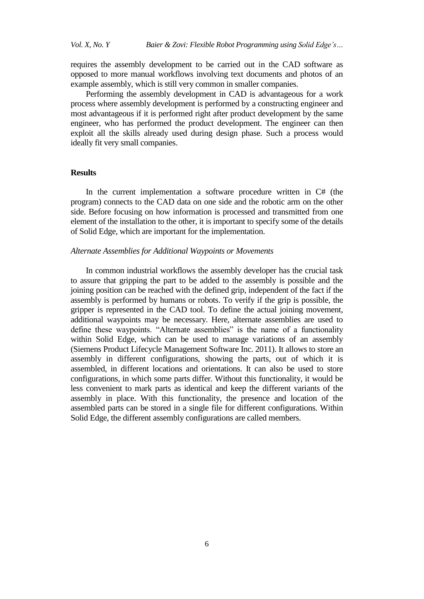requires the assembly development to be carried out in the CAD software as opposed to more manual workflows involving text documents and photos of an example assembly, which is still very common in smaller companies.

Performing the assembly development in CAD is advantageous for a work process where assembly development is performed by a constructing engineer and most advantageous if it is performed right after product development by the same engineer, who has performed the product development. The engineer can then exploit all the skills already used during design phase. Such a process would ideally fit very small companies.

## **Results**

In the current implementation a software procedure written in C# (the program) connects to the CAD data on one side and the robotic arm on the other side. Before focusing on how information is processed and transmitted from one element of the installation to the other, it is important to specify some of the details of Solid Edge, which are important for the implementation.

#### *Alternate Assemblies for Additional Waypoints or Movements*

In common industrial workflows the assembly developer has the crucial task to assure that gripping the part to be added to the assembly is possible and the joining position can be reached with the defined grip, independent of the fact if the assembly is performed by humans or robots. To verify if the grip is possible, the gripper is represented in the CAD tool. To define the actual joining movement, additional waypoints may be necessary. Here, alternate assemblies are used to define these waypoints. "Alternate assemblies" is the name of a functionality within Solid Edge, which can be used to manage variations of an assembly (Siemens Product Lifecycle Management Software Inc. 2011). It allows to store an assembly in different configurations, showing the parts, out of which it is assembled, in different locations and orientations. It can also be used to store configurations, in which some parts differ. Without this functionality, it would be less convenient to mark parts as identical and keep the different variants of the assembly in place. With this functionality, the presence and location of the assembled parts can be stored in a single file for different configurations. Within Solid Edge, the different assembly configurations are called members.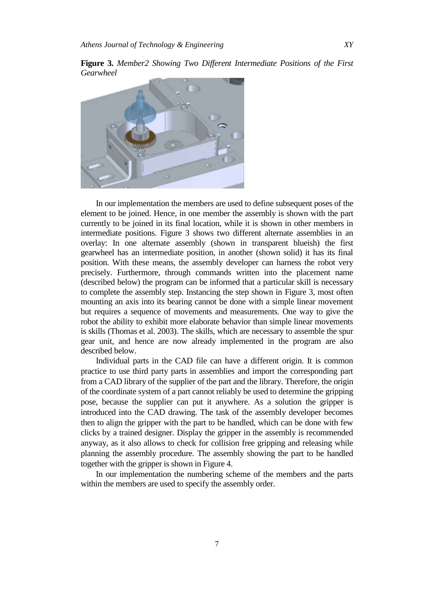**Figure 3.** *Member2 Showing Two Different Intermediate Positions of the First Gearwheel*



In our implementation the members are used to define subsequent poses of the element to be joined. Hence, in one member the assembly is shown with the part currently to be joined in its final location, while it is shown in other members in intermediate positions. Figure 3 shows two different alternate assemblies in an overlay: In one alternate assembly (shown in transparent blueish) the first gearwheel has an intermediate position, in another (shown solid) it has its final position. With these means, the assembly developer can harness the robot very precisely. Furthermore, through commands written into the placement name (described below) the program can be informed that a particular skill is necessary to complete the assembly step. Instancing the step shown in Figure 3, most often mounting an axis into its bearing cannot be done with a simple linear movement but requires a sequence of movements and measurements. One way to give the robot the ability to exhibit more elaborate behavior than simple linear movements is skills (Thomas et al. 2003). The skills, which are necessary to assemble the spur gear unit, and hence are now already implemented in the program are also described below.

Individual parts in the CAD file can have a different origin. It is common practice to use third party parts in assemblies and import the corresponding part from a CAD library of the supplier of the part and the library. Therefore, the origin of the coordinate system of a part cannot reliably be used to determine the gripping pose, because the supplier can put it anywhere. As a solution the gripper is introduced into the CAD drawing. The task of the assembly developer becomes then to align the gripper with the part to be handled, which can be done with few clicks by a trained designer. Display the gripper in the assembly is recommended anyway, as it also allows to check for collision free gripping and releasing while planning the assembly procedure. The assembly showing the part to be handled together with the gripper is shown in Figure 4.

In our implementation the numbering scheme of the members and the parts within the members are used to specify the assembly order.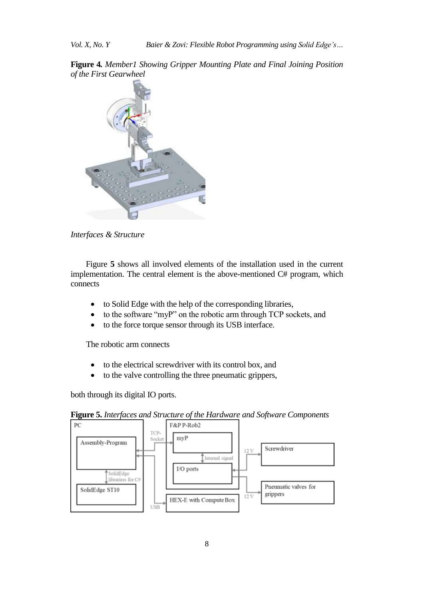**Figure 4***. Member1 Showing Gripper Mounting Plate and Final Joining Position of the First Gearwheel*



*Interfaces & Structure*

[Figure](#page-7-0) **5** shows all involved elements of the installation used in the current implementation. The central element is the above-mentioned C# program, which connects

- to Solid Edge with the help of the corresponding libraries,
- to the software "myP" on the robotic arm through TCP sockets, and
- to the force torque sensor through its USB interface.

The robotic arm connects

- to the electrical screwdriver with its control box, and
- to the valve controlling the three pneumatic grippers,

<span id="page-7-0"></span>both through its digital IO ports.

**Figure 5.** *Interfaces and Structure of the Hardware and Software Components*

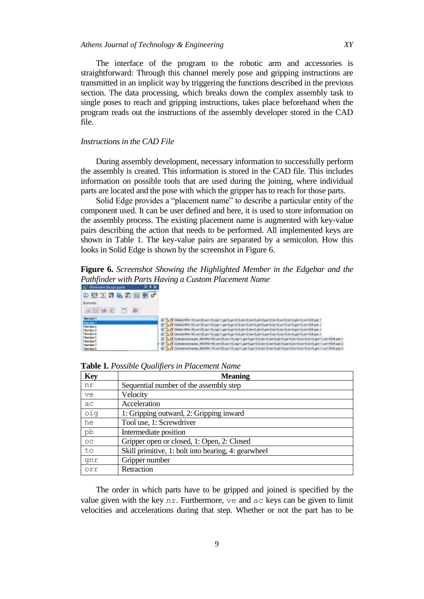The interface of the program to the robotic arm and accessories is straightforward: Through this channel merely pose and gripping instructions are transmitted in an implicit way by triggering the functions described in the previous section. The data processing, which breaks down the complex assembly task to single poses to reach and gripping instructions, takes place beforehand when the program reads out the instructions of the assembly developer stored in the CAD file.

#### *Instructions in the CAD File*

During assembly development, necessary information to successfully perform the assembly is created. This information is stored in the CAD file. This includes information on possible tools that are used during the joining, where individual parts are located and the pose with which the gripper has to reach for those parts.

Solid Edge provides a "placement name" to describe a particular entity of the component used. It can be user defined and here, it is used to store information on the assembly process. The existing placement name is augmented with key-value pairs describing the action that needs to be performed. All implemented keys are shown in Table 1. The key-value pairs are separated by a semicolon. How this looks in Solid Edge is shown by the screenshot in [Figure 6.](#page-8-0)

<span id="page-8-0"></span>**Figure 6.** *Screenshot Showing the Highlighted Member in the Edgebar and the Pathfinder with Parts Having a Custom Placement Name*

| <u> er okemstve linansport</u> |  |
|--------------------------------|--|
| 四裂之日比在四刻了                      |  |
| <b>Benente</b>                 |  |
| 斟<br>$-1 - 1 - 10$<br>v        |  |
| Mergian1                       |  |
| Werder!)<br>Membar2            |  |
| Membo <sub>2</sub>             |  |
| Mombors<br>MemberS             |  |
| Nerdand<br>Member 7            |  |
| Member                         |  |

| <b>Key</b> | <b>Meaning</b>                                      |
|------------|-----------------------------------------------------|
| nr         | Sequential number of the assembly step              |
| ve         | Velocity                                            |
| ac         | Acceleration                                        |
| oig        | 1: Gripping outward, 2: Gripping inward             |
| he         | Tool use, 1: Screwdriver                            |
| pb         | Intermediate position                               |
| OC         | Gripper open or closed, 1: Open, 2: Closed          |
| to         | Skill primitive, 1: bolt into bearing, 4: gearwheel |
| qnr        | Gripper number                                      |
| orr        | Retraction                                          |

**Table 1***. Possible Qualifiers in Placement Name*

The order in which parts have to be gripped and joined is specified by the value given with the key nr. Furthermore, ve and ac keys can be given to limit velocities and accelerations during that step. Whether or not the part has to be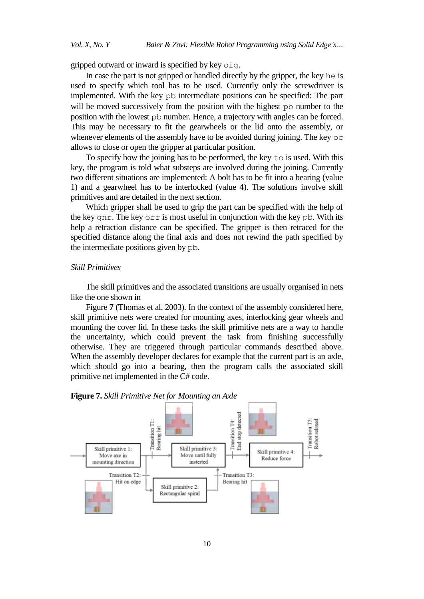gripped outward or inward is specified by key oig.

In case the part is not gripped or handled directly by the gripper, the key he is used to specify which tool has to be used. Currently only the screwdriver is implemented. With the key pb intermediate positions can be specified: The part will be moved successively from the position with the highest pb number to the position with the lowest pb number. Hence, a trajectory with angles can be forced. This may be necessary to fit the gearwheels or the lid onto the assembly, or whenever elements of the assembly have to be avoided during joining. The key  $\circ$ c allows to close or open the gripper at particular position.

To specify how the joining has to be performed, the key to is used. With this key, the program is told what substeps are involved during the joining. Currently two different situations are implemented: A bolt has to be fit into a bearing (value 1) and a gearwheel has to be interlocked (value 4). The solutions involve skill primitives and are detailed in the next section.

Which gripper shall be used to grip the part can be specified with the help of the key gnr. The key orr is most useful in conjunction with the key pb. With its help a retraction distance can be specified. The gripper is then retraced for the specified distance along the final axis and does not rewind the path specified by the intermediate positions given by pb.

#### *Skill Primitives*

The skill primitives and the associated transitions are usually organised in nets like the one shown in

[Figure](#page-9-0) **7** (Thomas et al. 2003). In the context of the assembly considered here, skill primitive nets were created for mounting axes, interlocking gear wheels and mounting the cover lid. In these tasks the skill primitive nets are a way to handle the uncertainty, which could prevent the task from finishing successfully otherwise. They are triggered through particular commands described above. When the assembly developer declares for example that the current part is an axle, which should go into a bearing, then the program calls the associated skill primitive net implemented in the C# code.

<span id="page-9-0"></span>

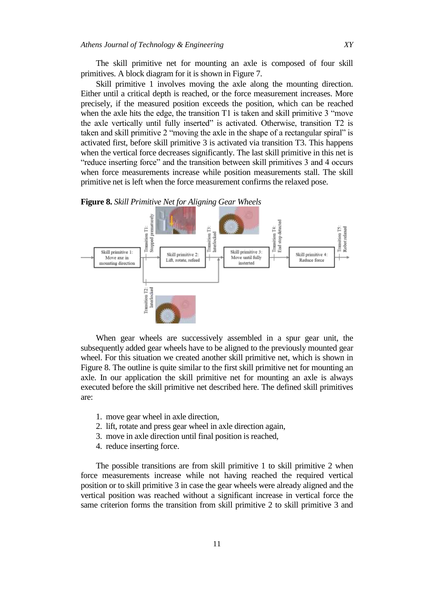The skill primitive net for mounting an axle is composed of four skill primitives. A block diagram for it is shown in Figure 7.

Skill primitive 1 involves moving the axle along the mounting direction. Either until a critical depth is reached, or the force measurement increases. More precisely, if the measured position exceeds the position, which can be reached when the axle hits the edge, the transition T1 is taken and skill primitive 3 "move" the axle vertically until fully inserted" is activated. Otherwise, transition T2 is taken and skill primitive 2 "moving the axle in the shape of a rectangular spiral" is activated first, before skill primitive 3 is activated via transition T3. This happens when the vertical force decreases significantly. The last skill primitive in this net is "reduce inserting force" and the transition between skill primitives 3 and 4 occurs when force measurements increase while position measurements stall. The skill primitive net is left when the force measurement confirms the relaxed pose.

<span id="page-10-0"></span>**Figure 8.** *Skill Primitive Net for Aligning Gear Wheels*



When gear wheels are successively assembled in a spur gear unit, the subsequently added gear wheels have to be aligned to the previously mounted gear wheel. For this situation we created another skill primitive net, which is shown in [Figure 8.](#page-10-0) The outline is quite similar to the first skill primitive net for mounting an axle. In our application the skill primitive net for mounting an axle is always executed before the skill primitive net described here. The defined skill primitives are:

- 1. move gear wheel in axle direction,
- 2. lift, rotate and press gear wheel in axle direction again,
- 3. move in axle direction until final position is reached,
- 4. reduce inserting force.

The possible transitions are from skill primitive 1 to skill primitive 2 when force measurements increase while not having reached the required vertical position or to skill primitive 3 in case the gear wheels were already aligned and the vertical position was reached without a significant increase in vertical force the same criterion forms the transition from skill primitive 2 to skill primitive 3 and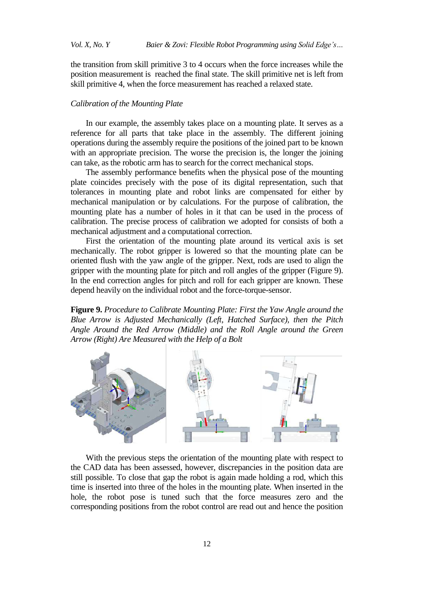the transition from skill primitive 3 to 4 occurs when the force increases while the position measurement is reached the final state. The skill primitive net is left from skill primitive 4, when the force measurement has reached a relaxed state.

## *Calibration of the Mounting Plate*

In our example, the assembly takes place on a mounting plate. It serves as a reference for all parts that take place in the assembly. The different joining operations during the assembly require the positions of the joined part to be known with an appropriate precision. The worse the precision is, the longer the joining can take, as the robotic arm has to search for the correct mechanical stops.

The assembly performance benefits when the physical pose of the mounting plate coincides precisely with the pose of its digital representation, such that tolerances in mounting plate and robot links are compensated for either by mechanical manipulation or by calculations. For the purpose of calibration, the mounting plate has a number of holes in it that can be used in the process of calibration. The precise process of calibration we adopted for consists of both a mechanical adjustment and a computational correction.

First the orientation of the mounting plate around its vertical axis is set mechanically. The robot gripper is lowered so that the mounting plate can be oriented flush with the yaw angle of the gripper. Next, rods are used to align the gripper with the mounting plate for pitch and roll angles of the gripper [\(Figure](#page-11-0) 9). In the end correction angles for pitch and roll for each gripper are known. These depend heavily on the individual robot and the force-torque-sensor.

<span id="page-11-0"></span>**Figure 9.** *Procedure to Calibrate Mounting Plate: First the Yaw Angle around the Blue Arrow is Adjusted Mechanically (Left, Hatched Surface), then the Pitch Angle Around the Red Arrow (Middle) and the Roll Angle around the Green Arrow (Right) Are Measured with the Help of a Bolt*



With the previous steps the orientation of the mounting plate with respect to the CAD data has been assessed, however, discrepancies in the position data are still possible. To close that gap the robot is again made holding a rod, which this time is inserted into three of the holes in the mounting plate. When inserted in the hole, the robot pose is tuned such that the force measures zero and the corresponding positions from the robot control are read out and hence the position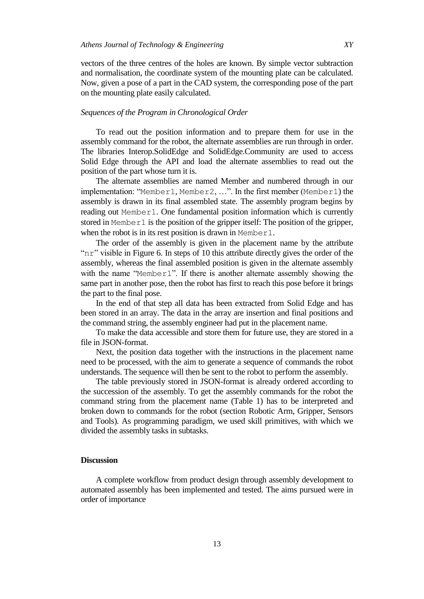vectors of the three centres of the holes are known. By simple vector subtraction and normalisation, the coordinate system of the mounting plate can be calculated. Now, given a pose of a part in the CAD system, the corresponding pose of the part on the mounting plate easily calculated.

## *Sequences of the Program in Chronological Order*

To read out the position information and to prepare them for use in the assembly command for the robot, the alternate assemblies are run through in order. The libraries Interop.SolidEdge and SolidEdge.Community are used to access Solid Edge through the API and load the alternate assemblies to read out the position of the part whose turn it is.

The alternate assemblies are named Member and numbered through in our implementation: "Member1, Member2, …". In the first member (Member1) the assembly is drawn in its final assembled state. The assembly program begins by reading out Member1. One fundamental position information which is currently stored in Member1 is the position of the gripper itself: The position of the gripper, when the robot is in its rest position is drawn in Member 1.

The order of the assembly is given in the placement name by the attribute "nr" visible in [Figure 6.](#page-8-0) In steps of 10 this attribute directly gives the order of the assembly, whereas the final assembled position is given in the alternate assembly with the name "Member1". If there is another alternate assembly showing the same part in another pose, then the robot has first to reach this pose before it brings the part to the final pose.

In the end of that step all data has been extracted from Solid Edge and has been stored in an array. The data in the array are insertion and final positions and the command string, the assembly engineer had put in the placement name.

To make the data accessible and store them for future use, they are stored in a file in JSON-format.

Next, the position data together with the instructions in the placement name need to be processed, with the aim to generate a sequence of commands the robot understands. The sequence will then be sent to the robot to perform the assembly.

The table previously stored in JSON-format is already ordered according to the succession of the assembly. To get the assembly commands for the robot the command string from the placement name (Table 1) has to be interpreted and broken down to commands for the robot (section Robotic Arm, Gripper, Sensors and Tools). As programming paradigm, we used skill primitives, with which we divided the assembly tasks in subtasks.

## **Discussion**

A complete workflow from product design through assembly development to automated assembly has been implemented and tested. The aims pursued were in order of importance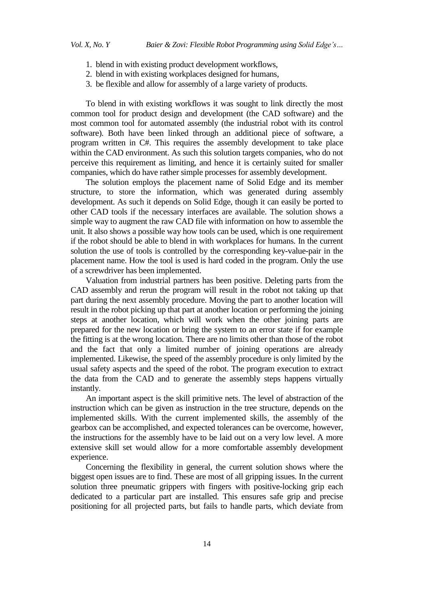- 1. blend in with existing product development workflows,
- 2. blend in with existing workplaces designed for humans,
- 3. be flexible and allow for assembly of a large variety of products.

To blend in with existing workflows it was sought to link directly the most common tool for product design and development (the CAD software) and the most common tool for automated assembly (the industrial robot with its control software). Both have been linked through an additional piece of software, a program written in C#. This requires the assembly development to take place within the CAD environment. As such this solution targets companies, who do not perceive this requirement as limiting, and hence it is certainly suited for smaller companies, which do have rather simple processes for assembly development.

The solution employs the placement name of Solid Edge and its member structure, to store the information, which was generated during assembly development. As such it depends on Solid Edge, though it can easily be ported to other CAD tools if the necessary interfaces are available. The solution shows a simple way to augment the raw CAD file with information on how to assemble the unit. It also shows a possible way how tools can be used, which is one requirement if the robot should be able to blend in with workplaces for humans. In the current solution the use of tools is controlled by the corresponding key-value-pair in the placement name. How the tool is used is hard coded in the program. Only the use of a screwdriver has been implemented.

Valuation from industrial partners has been positive. Deleting parts from the CAD assembly and rerun the program will result in the robot not taking up that part during the next assembly procedure. Moving the part to another location will result in the robot picking up that part at another location or performing the joining steps at another location, which will work when the other joining parts are prepared for the new location or bring the system to an error state if for example the fitting is at the wrong location. There are no limits other than those of the robot and the fact that only a limited number of joining operations are already implemented. Likewise, the speed of the assembly procedure is only limited by the usual safety aspects and the speed of the robot. The program execution to extract the data from the CAD and to generate the assembly steps happens virtually instantly.

An important aspect is the skill primitive nets. The level of abstraction of the instruction which can be given as instruction in the tree structure, depends on the implemented skills. With the current implemented skills, the assembly of the gearbox can be accomplished, and expected tolerances can be overcome, however, the instructions for the assembly have to be laid out on a very low level. A more extensive skill set would allow for a more comfortable assembly development experience.

Concerning the flexibility in general, the current solution shows where the biggest open issues are to find. These are most of all gripping issues. In the current solution three pneumatic grippers with fingers with positive-locking grip each dedicated to a particular part are installed. This ensures safe grip and precise positioning for all projected parts, but fails to handle parts, which deviate from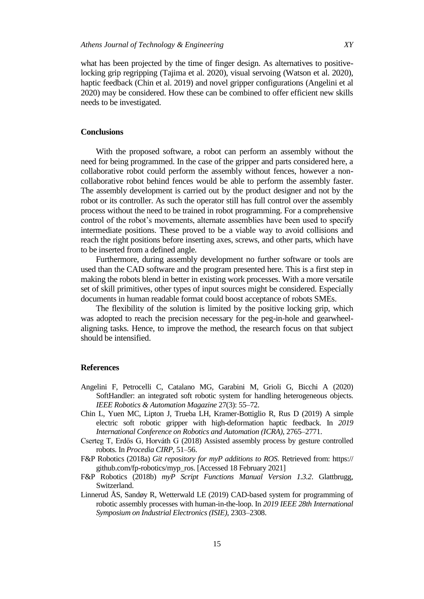what has been projected by the time of finger design. As alternatives to positivelocking grip regripping (Tajima et al. 2020), visual servoing (Watson et al. 2020), haptic feedback (Chin et al. 2019) and novel gripper configurations (Angelini et al 2020) may be considered. How these can be combined to offer efficient new skills needs to be investigated.

## **Conclusions**

With the proposed software, a robot can perform an assembly without the need for being programmed. In the case of the gripper and parts considered here, a collaborative robot could perform the assembly without fences, however a noncollaborative robot behind fences would be able to perform the assembly faster. The assembly development is carried out by the product designer and not by the robot or its controller. As such the operator still has full control over the assembly process without the need to be trained in robot programming. For a comprehensive control of the robot's movements, alternate assemblies have been used to specify intermediate positions. These proved to be a viable way to avoid collisions and reach the right positions before inserting axes, screws, and other parts, which have to be inserted from a defined angle.

Furthermore, during assembly development no further software or tools are used than the CAD software and the program presented here. This is a first step in making the robots blend in better in existing work processes. With a more versatile set of skill primitives, other types of input sources might be considered. Especially documents in human readable format could boost acceptance of robots SMEs.

The flexibility of the solution is limited by the positive locking grip, which was adopted to reach the precision necessary for the peg-in-hole and gearwheelaligning tasks. Hence, to improve the method, the research focus on that subject should be intensified.

#### **References**

- Angelini F, Petrocelli C, Catalano MG, Garabini M, Grioli G, Bicchi A (2020) SoftHandler: an integrated soft robotic system for handling heterogeneous objects. *IEEE Robotics & Automation Magazine* 27(3): 55–72.
- Chin L, Yuen MC, Lipton J, Trueba LH, Kramer-Bottiglio R, Rus D (2019) A simple electric soft robotic gripper with high-deformation haptic feedback. In *2019 International Conference on Robotics and Automation (ICRA)*, 2765–2771.
- Cserteg T, Erdős G, Horváth G (2018) Assisted assembly process by gesture controlled robots. In *Procedia CIRP*, 51–56.
- F&P Robotics (2018a) *Git repository for myP additions to ROS*. Retrieved from: https:// github.com/fp-robotics/myp\_ros. [Accessed 18 February 2021]
- F&P Robotics (2018b) *myP Script Functions Manual Version 1.3.2*. Glattbrugg, Switzerland.
- Linnerud ÅS, Sandøy R, Wetterwald LE (2019) CAD-based system for programming of robotic assembly processes with human-in-the-loop. In *2019 IEEE 28th International Symposium on Industrial Electronics (ISIE)*, 2303–2308.